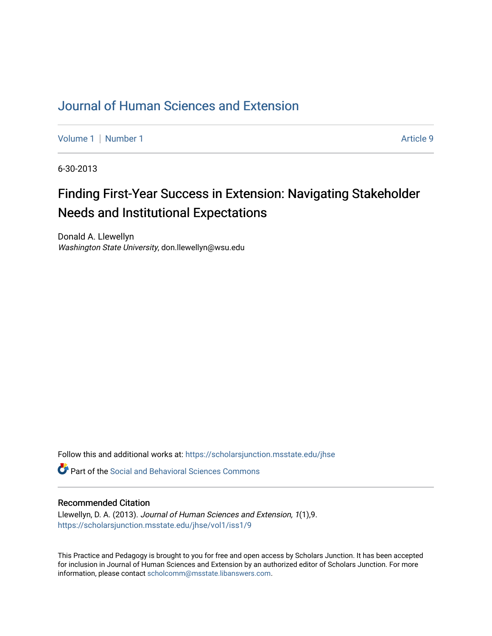# [Journal of Human Sciences and Extension](https://scholarsjunction.msstate.edu/jhse)

[Volume 1](https://scholarsjunction.msstate.edu/jhse/vol1) | [Number 1](https://scholarsjunction.msstate.edu/jhse/vol1/iss1) Article 9

6-30-2013

# Finding First-Year Success in Extension: Navigating Stakeholder Needs and Institutional Expectations

Donald A. Llewellyn Washington State University, don.llewellyn@wsu.edu

Follow this and additional works at: [https://scholarsjunction.msstate.edu/jhse](https://scholarsjunction.msstate.edu/jhse?utm_source=scholarsjunction.msstate.edu%2Fjhse%2Fvol1%2Fiss1%2F9&utm_medium=PDF&utm_campaign=PDFCoverPages)

**C** Part of the Social and Behavioral Sciences Commons

### Recommended Citation

Llewellyn, D. A. (2013). Journal of Human Sciences and Extension, 1(1),9. [https://scholarsjunction.msstate.edu/jhse/vol1/iss1/9](https://scholarsjunction.msstate.edu/jhse/vol1/iss1/9?utm_source=scholarsjunction.msstate.edu%2Fjhse%2Fvol1%2Fiss1%2F9&utm_medium=PDF&utm_campaign=PDFCoverPages)

This Practice and Pedagogy is brought to you for free and open access by Scholars Junction. It has been accepted for inclusion in Journal of Human Sciences and Extension by an authorized editor of Scholars Junction. For more information, please contact [scholcomm@msstate.libanswers.com](mailto:scholcomm@msstate.libanswers.com).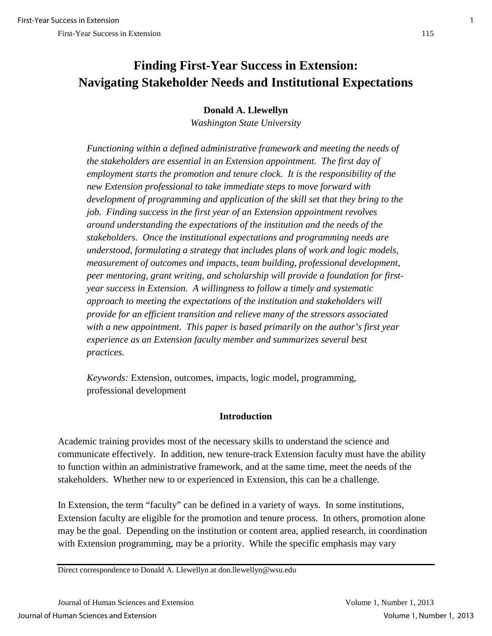## **Donald A. Llewellyn**

*Washington State University* 

*Functioning within a defined administrative framework and meeting the needs of the stakeholders are essential in an Extension appointment. The first day of employment starts the promotion and tenure clock. It is the responsibility of the new Extension professional to take immediate steps to move forward with development of programming and application of the skill set that they bring to the job. Finding success in the first year of an Extension appointment revolves around understanding the expectations of the institution and the needs of the stakeholders. Once the institutional expectations and programming needs are understood, formulating a strategy that includes plans of work and logic models, measurement of outcomes and impacts, team building, professional development, peer mentoring, grant writing, and scholarship will provide a foundation for firstyear success in Extension. A willingness to follow a timely and systematic approach to meeting the expectations of the institution and stakeholders will provide for an efficient transition and relieve many of the stressors associated with a new appointment. This paper is based primarily on the author's first year experience as an Extension faculty member and summarizes several best practices.*

*Keywords:* Extension, outcomes, impacts, logic model, programming, professional development

### **Introduction**

Academic training provides most of the necessary skills to understand the science and communicate effectively. In addition, new tenure-track Extension faculty must have the ability to function within an administrative framework, and at the same time, meet the needs of the stakeholders. Whether new to or experienced in Extension, this can be a challenge.

In Extension, the term "faculty" can be defined in a variety of ways. In some institutions, Extension faculty are eligible for the promotion and tenure process. In others, promotion alone may be the goal. Depending on the institution or content area, applied research, in coordination with Extension programming, may be a priority. While the specific emphasis may vary

Direct correspondence to Donald A. Llewellyn at don.llewellyn@wsu.edu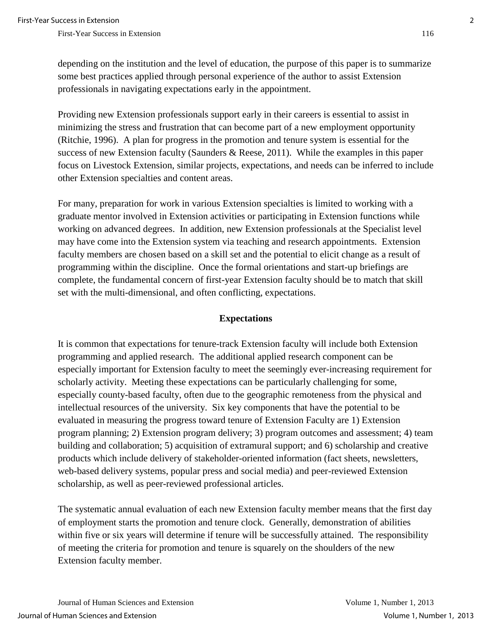depending on the institution and the level of education, the purpose of this paper is to summarize some best practices applied through personal experience of the author to assist Extension professionals in navigating expectations early in the appointment.

Providing new Extension professionals support early in their careers is essential to assist in minimizing the stress and frustration that can become part of a new employment opportunity (Ritchie, 1996). A plan for progress in the promotion and tenure system is essential for the success of new Extension faculty (Saunders & Reese, 2011). While the examples in this paper focus on Livestock Extension, similar projects, expectations, and needs can be inferred to include other Extension specialties and content areas.

For many, preparation for work in various Extension specialties is limited to working with a graduate mentor involved in Extension activities or participating in Extension functions while working on advanced degrees. In addition, new Extension professionals at the Specialist level may have come into the Extension system via teaching and research appointments. Extension faculty members are chosen based on a skill set and the potential to elicit change as a result of programming within the discipline. Once the formal orientations and start-up briefings are complete, the fundamental concern of first-year Extension faculty should be to match that skill set with the multi-dimensional, and often conflicting, expectations.

### **Expectations**

It is common that expectations for tenure-track Extension faculty will include both Extension programming and applied research. The additional applied research component can be especially important for Extension faculty to meet the seemingly ever-increasing requirement for scholarly activity. Meeting these expectations can be particularly challenging for some, especially county-based faculty, often due to the geographic remoteness from the physical and intellectual resources of the university. Six key components that have the potential to be evaluated in measuring the progress toward tenure of Extension Faculty are 1) Extension program planning; 2) Extension program delivery; 3) program outcomes and assessment; 4) team building and collaboration; 5) acquisition of extramural support; and 6) scholarship and creative products which include delivery of stakeholder-oriented information (fact sheets, newsletters, web-based delivery systems, popular press and social media) and peer-reviewed Extension scholarship, as well as peer-reviewed professional articles.

The systematic annual evaluation of each new Extension faculty member means that the first day of employment starts the promotion and tenure clock. Generally, demonstration of abilities within five or six years will determine if tenure will be successfully attained. The responsibility of meeting the criteria for promotion and tenure is squarely on the shoulders of the new Extension faculty member.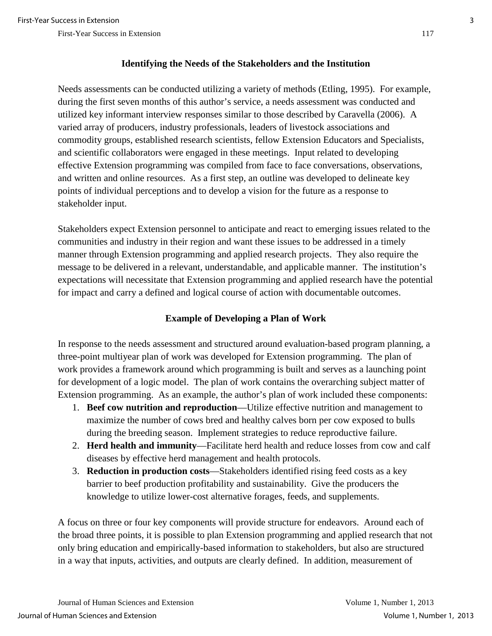## **Identifying the Needs of the Stakeholders and the Institution**

Needs assessments can be conducted utilizing a variety of methods (Etling, 1995). For example, during the first seven months of this author's service, a needs assessment was conducted and utilized key informant interview responses similar to those described by Caravella (2006). A varied array of producers, industry professionals, leaders of livestock associations and commodity groups, established research scientists, fellow Extension Educators and Specialists, and scientific collaborators were engaged in these meetings. Input related to developing effective Extension programming was compiled from face to face conversations, observations, and written and online resources. As a first step, an outline was developed to delineate key points of individual perceptions and to develop a vision for the future as a response to stakeholder input.

Stakeholders expect Extension personnel to anticipate and react to emerging issues related to the communities and industry in their region and want these issues to be addressed in a timely manner through Extension programming and applied research projects. They also require the message to be delivered in a relevant, understandable, and applicable manner. The institution's expectations will necessitate that Extension programming and applied research have the potential for impact and carry a defined and logical course of action with documentable outcomes.

# **Example of Developing a Plan of Work**

In response to the needs assessment and structured around evaluation-based program planning, a three-point multiyear plan of work was developed for Extension programming. The plan of work provides a framework around which programming is built and serves as a launching point for development of a logic model. The plan of work contains the overarching subject matter of Extension programming. As an example, the author's plan of work included these components:

- 1. **Beef cow nutrition and reproduction**—Utilize effective nutrition and management to maximize the number of cows bred and healthy calves born per cow exposed to bulls during the breeding season. Implement strategies to reduce reproductive failure.
- 2. **Herd health and immunity**—Facilitate herd health and reduce losses from cow and calf diseases by effective herd management and health protocols.
- 3. **Reduction in production costs**—Stakeholders identified rising feed costs as a key barrier to beef production profitability and sustainability. Give the producers the knowledge to utilize lower-cost alternative forages, feeds, and supplements.

A focus on three or four key components will provide structure for endeavors. Around each of the broad three points, it is possible to plan Extension programming and applied research that not only bring education and empirically-based information to stakeholders, but also are structured in a way that inputs, activities, and outputs are clearly defined. In addition, measurement of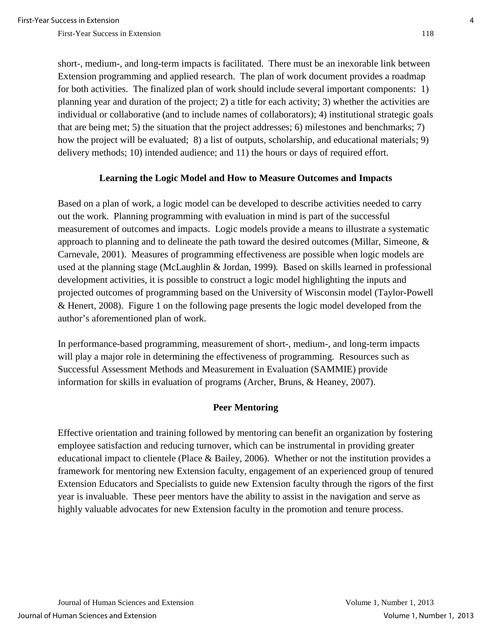short-, medium-, and long-term impacts is facilitated. There must be an inexorable link between Extension programming and applied research. The plan of work document provides a roadmap for both activities. The finalized plan of work should include several important components: 1) planning year and duration of the project; 2) a title for each activity; 3) whether the activities are individual or collaborative (and to include names of collaborators); 4) institutional strategic goals that are being met; 5) the situation that the project addresses; 6) milestones and benchmarks; 7) how the project will be evaluated; 8) a list of outputs, scholarship, and educational materials; 9) delivery methods; 10) intended audience; and 11) the hours or days of required effort.

### **Learning the Logic Model and How to Measure Outcomes and Impacts**

Based on a plan of work, a logic model can be developed to describe activities needed to carry out the work. Planning programming with evaluation in mind is part of the successful measurement of outcomes and impacts. Logic models provide a means to illustrate a systematic approach to planning and to delineate the path toward the desired outcomes (Millar, Simeone, & Carnevale, 2001). Measures of programming effectiveness are possible when logic models are used at the planning stage (McLaughlin & Jordan, 1999)*.* Based on skills learned in professional development activities*,* it is possible to construct a logic model highlighting the inputs and projected outcomes of programming based on the University of Wisconsin model (Taylor-Powell & Henert, 2008). Figure 1 on the following page presents the logic model developed from the author's aforementioned plan of work.

In performance-based programming, measurement of short-, medium-, and long-term impacts will play a major role in determining the effectiveness of programming. Resources such as Successful Assessment Methods and Measurement in Evaluation (SAMMIE) provide information for skills in evaluation of programs (Archer, Bruns, & Heaney, 2007).

### **Peer Mentoring**

Effective orientation and training followed by mentoring can benefit an organization by fostering employee satisfaction and reducing turnover, which can be instrumental in providing greater educational impact to clientele (Place & Bailey, 2006). Whether or not the institution provides a framework for mentoring new Extension faculty, engagement of an experienced group of tenured Extension Educators and Specialists to guide new Extension faculty through the rigors of the first year is invaluable. These peer mentors have the ability to assist in the navigation and serve as highly valuable advocates for new Extension faculty in the promotion and tenure process.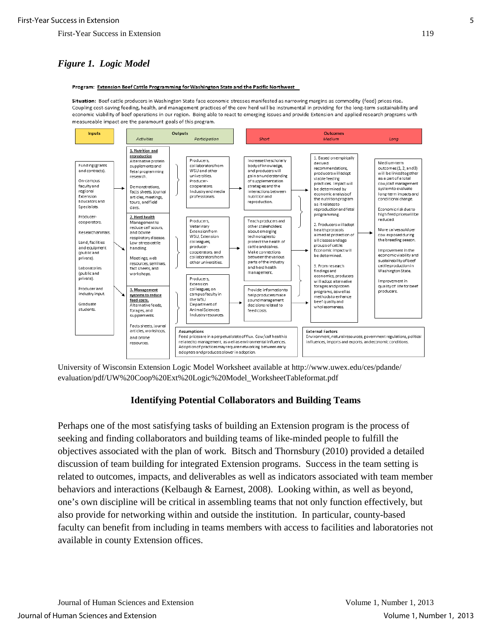# *Figure 1. Logic Model*

#### Program: Extension Beef Cattle Programming for Washington State and the Pacific Northwest

Situation: Beef cattle producers in Washington State face economic stresses manifested as narrowing margins as commodity (feed) prices rise. Coupling cost-saving feeding, health, and management practices of the cow herd will be instrumental in providing for the long-term sustainability and economic viability of beef operations in our region. Being able to react to emerging issues and provide Extension and applied research programs with measureable impact are the paramount goals of this program.



University of Wisconsin Extension Logic Model Worksheet available at http://www.uwex.edu/ces/pdande/ evaluation/pdf/UW%20Coop%20Ext%20Logic%20Model\_WorksheetTableformat.pdf

### **Identifying Potential Collaborators and Building Teams**

Perhaps one of the most satisfying tasks of building an Extension program is the process of seeking and finding collaborators and building teams of like-minded people to fulfill the objectives associated with the plan of work*.* Bitsch and Thornsbury (2010) provided a detailed discussion of team building for integrated Extension programs. Success in the team setting is related to outcomes, impacts, and deliverables as well as indicators associated with team member behaviors and interactions (Kelbaugh & Earnest, 2008). Looking within, as well as beyond, one's own discipline will be critical in assembling teams that not only function effectively, but also provide for networking within and outside the institution. In particular, county-based faculty can benefit from including in teams members with access to facilities and laboratories not available in county Extension offices.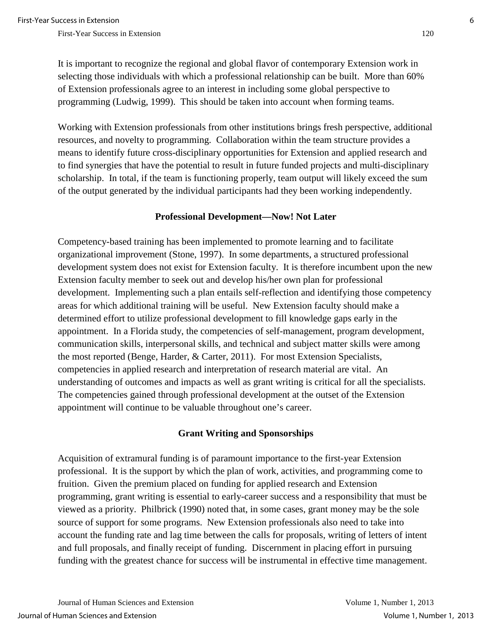It is important to recognize the regional and global flavor of contemporary Extension work in selecting those individuals with which a professional relationship can be built. More than 60% of Extension professionals agree to an interest in including some global perspective to programming (Ludwig, 1999). This should be taken into account when forming teams.

Working with Extension professionals from other institutions brings fresh perspective, additional resources, and novelty to programming. Collaboration within the team structure provides a means to identify future cross-disciplinary opportunities for Extension and applied research and to find synergies that have the potential to result in future funded projects and multi-disciplinary scholarship. In total, if the team is functioning properly, team output will likely exceed the sum of the output generated by the individual participants had they been working independently.

### **Professional Development—Now! Not Later**

Competency-based training has been implemented to promote learning and to facilitate organizational improvement (Stone, 1997). In some departments, a structured professional development system does not exist for Extension faculty. It is therefore incumbent upon the new Extension faculty member to seek out and develop his/her own plan for professional development. Implementing such a plan entails self-reflection and identifying those competency areas for which additional training will be useful. New Extension faculty should make a determined effort to utilize professional development to fill knowledge gaps early in the appointment. In a Florida study, the competencies of self-management, program development, communication skills, interpersonal skills, and technical and subject matter skills were among the most reported (Benge, Harder, & Carter, 2011). For most Extension Specialists, competencies in applied research and interpretation of research material are vital. An understanding of outcomes and impacts as well as grant writing is critical for all the specialists. The competencies gained through professional development at the outset of the Extension appointment will continue to be valuable throughout one's career.

### **Grant Writing and Sponsorships**

Acquisition of extramural funding is of paramount importance to the first-year Extension professional. It is the support by which the plan of work, activities, and programming come to fruition. Given the premium placed on funding for applied research and Extension programming, grant writing is essential to early-career success and a responsibility that must be viewed as a priority. Philbrick (1990) noted that, in some cases, grant money may be the sole source of support for some programs. New Extension professionals also need to take into account the funding rate and lag time between the calls for proposals, writing of letters of intent and full proposals, and finally receipt of funding. Discernment in placing effort in pursuing funding with the greatest chance for success will be instrumental in effective time management.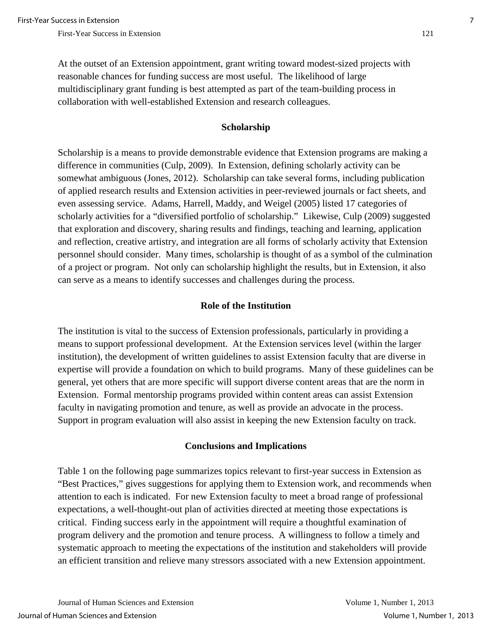At the outset of an Extension appointment, grant writing toward modest-sized projects with reasonable chances for funding success are most useful. The likelihood of large multidisciplinary grant funding is best attempted as part of the team-building process in collaboration with well-established Extension and research colleagues.

### **Scholarship**

Scholarship is a means to provide demonstrable evidence that Extension programs are making a difference in communities (Culp, 2009). In Extension, defining scholarly activity can be somewhat ambiguous (Jones, 2012). Scholarship can take several forms, including publication of applied research results and Extension activities in peer-reviewed journals or fact sheets, and even assessing service. Adams, Harrell, Maddy, and Weigel (2005) listed 17 categories of scholarly activities for a "diversified portfolio of scholarship." Likewise, Culp (2009) suggested that exploration and discovery, sharing results and findings, teaching and learning, application and reflection, creative artistry, and integration are all forms of scholarly activity that Extension personnel should consider. Many times, scholarship is thought of as a symbol of the culmination of a project or program. Not only can scholarship highlight the results, but in Extension, it also can serve as a means to identify successes and challenges during the process.

### **Role of the Institution**

The institution is vital to the success of Extension professionals, particularly in providing a means to support professional development. At the Extension services level (within the larger institution), the development of written guidelines to assist Extension faculty that are diverse in expertise will provide a foundation on which to build programs. Many of these guidelines can be general, yet others that are more specific will support diverse content areas that are the norm in Extension. Formal mentorship programs provided within content areas can assist Extension faculty in navigating promotion and tenure, as well as provide an advocate in the process. Support in program evaluation will also assist in keeping the new Extension faculty on track.

### **Conclusions and Implications**

Table 1 on the following page summarizes topics relevant to first-year success in Extension as "Best Practices," gives suggestions for applying them to Extension work, and recommends when attention to each is indicated. For new Extension faculty to meet a broad range of professional expectations, a well-thought-out plan of activities directed at meeting those expectations is critical. Finding success early in the appointment will require a thoughtful examination of program delivery and the promotion and tenure process. A willingness to follow a timely and systematic approach to meeting the expectations of the institution and stakeholders will provide an efficient transition and relieve many stressors associated with a new Extension appointment.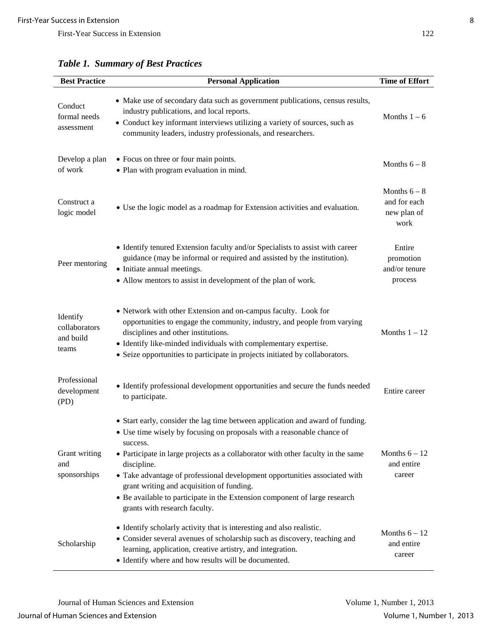| <b>Best Practice</b>                            | <b>Personal Application</b>                                                                                                                                                                                                                                                                                                                                                                                                                                                                                       | <b>Time of Effort</b>                               |
|-------------------------------------------------|-------------------------------------------------------------------------------------------------------------------------------------------------------------------------------------------------------------------------------------------------------------------------------------------------------------------------------------------------------------------------------------------------------------------------------------------------------------------------------------------------------------------|-----------------------------------------------------|
| Conduct<br>formal needs<br>assessment           | • Make use of secondary data such as government publications, census results,<br>industry publications, and local reports.<br>• Conduct key informant interviews utilizing a variety of sources, such as<br>community leaders, industry professionals, and researchers.                                                                                                                                                                                                                                           | Months $1-6$                                        |
| Develop a plan<br>of work                       | • Focus on three or four main points.<br>• Plan with program evaluation in mind.                                                                                                                                                                                                                                                                                                                                                                                                                                  | Months $6-8$                                        |
| Construct a<br>logic model                      | • Use the logic model as a roadmap for Extension activities and evaluation.                                                                                                                                                                                                                                                                                                                                                                                                                                       | Months $6-8$<br>and for each<br>new plan of<br>work |
| Peer mentoring                                  | • Identify tenured Extension faculty and/or Specialists to assist with career<br>guidance (may be informal or required and assisted by the institution).<br>• Initiate annual meetings.<br>• Allow mentors to assist in development of the plan of work.                                                                                                                                                                                                                                                          | Entire<br>promotion<br>and/or tenure<br>process     |
| Identify<br>collaborators<br>and build<br>teams | • Network with other Extension and on-campus faculty. Look for<br>opportunities to engage the community, industry, and people from varying<br>disciplines and other institutions.<br>• Identify like-minded individuals with complementary expertise.<br>• Seize opportunities to participate in projects initiated by collaborators.                                                                                                                                                                             | Months $1 - 12$                                     |
| Professional<br>development<br>(PD)             | • Identify professional development opportunities and secure the funds needed<br>to participate.                                                                                                                                                                                                                                                                                                                                                                                                                  | Entire career                                       |
| Grant writing<br>and<br>sponsorships            | • Start early, consider the lag time between application and award of funding.<br>• Use time wisely by focusing on proposals with a reasonable chance of<br>success.<br>• Participate in large projects as a collaborator with other faculty in the same<br>discipline.<br>• Take advantage of professional development opportunities associated with<br>grant writing and acquisition of funding.<br>• Be available to participate in the Extension component of large research<br>grants with research faculty. | Months $6 - 12$<br>and entire<br>career             |
| Scholarship                                     | • Identify scholarly activity that is interesting and also realistic.<br>• Consider several avenues of scholarship such as discovery, teaching and<br>learning, application, creative artistry, and integration.<br>• Identify where and how results will be documented.                                                                                                                                                                                                                                          | Months $6 - 12$<br>and entire<br>career             |

*Table 1. Summary of Best Practices*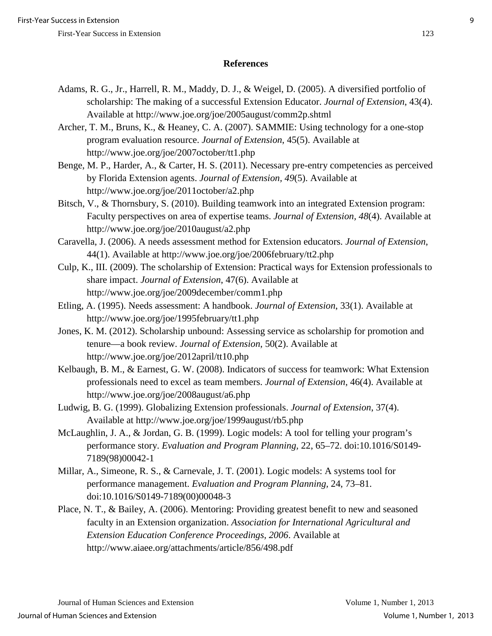### **References**

- Adams, R. G., Jr., Harrell, R. M., Maddy, D. J., & Weigel, D. (2005). A diversified portfolio of scholarship: The making of a successful Extension Educator. *Journal of Extension*, 43(4). Available at http://www.joe.org/joe/2005august/comm2p.shtml
- Archer, T. M., Bruns, K., & Heaney, C. A. (2007). SAMMIE: Using technology for a one-stop program evaluation resource. *Journal of Extension*, 45(5). Available at http://www.joe.org/joe/2007october/tt1.php
- Benge, M. P., Harder, A., & Carter, H. S. (2011). Necessary pre-entry competencies as perceived by Florida Extension agents. *Journal of Extension, 49*(5). Available at http://www.joe.org/joe/2011october/a2.php
- Bitsch, V., & Thornsbury, S. (2010). Building teamwork into an integrated Extension program: Faculty perspectives on area of expertise teams. *Journal of Extension, 48*(4). Available at http://www.joe.org/joe/2010august/a2.php
- Caravella, J. (2006). A needs assessment method for Extension educators. *Journal of Extension*, 44(1). Available at http://www.joe.org/joe/2006february/tt2.php
- Culp, K., III. (2009). The scholarship of Extension: Practical ways for Extension professionals to share impact. *Journal of Extension*, 47(6). Available at http://www.joe.org/joe/2009december/comm1.php
- Etling, A. (1995). Needs assessment: A handbook. *Journal of Extension*, 33(1). Available at http://www.joe.org/joe/1995february/tt1.php
- Jones, K. M. (2012). Scholarship unbound: Assessing service as scholarship for promotion and tenure—a book review. *Journal of Extension*, 50(2). Available at http://www.joe.org/joe/2012april/tt10.php
- Kelbaugh, B. M., & Earnest, G. W. (2008). Indicators of success for teamwork: What Extension professionals need to excel as team members. *Journal of Extension*, 46(4). Available at http://www.joe.org/joe/2008august/a6.php
- Ludwig, B. G. (1999). Globalizing Extension professionals. *Journal of Extension*, 37(4). Available at http://www.joe.org/joe/1999august/rb5.php
- McLaughlin, J. A., & Jordan, G. B. (1999). Logic models: A tool for telling your program's performance story. *Evaluation and Program Planning,* 22, 65–72. doi:10.1016/S0149- 7189(98)00042-1
- Millar, A., Simeone, R. S., & Carnevale, J. T. (2001). Logic models: A systems tool for performance management. *Evaluation and Program Planning,* 24, 73–81. doi:10.1016/S0149-7189(00)00048-3
- Place, N. T., & Bailey, A. (2006). Mentoring: Providing greatest benefit to new and seasoned faculty in an Extension organization. *Association for International Agricultural and Extension Education Conference Proceedings, 2006*. Available at http://www.aiaee.org/attachments/article/856/498.pdf